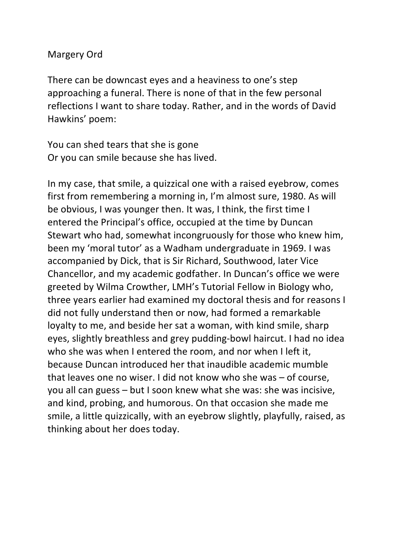## Margery Ord

There can be downcast eyes and a heaviness to one's step approaching a funeral. There is none of that in the few personal reflections I want to share today. Rather, and in the words of David Hawkins' poem:

You can shed tears that she is gone Or you can smile because she has lived.

In my case, that smile, a quizzical one with a raised eyebrow, comes first from remembering a morning in, I'm almost sure, 1980. As will be obvious, I was younger then. It was, I think, the first time I entered the Principal's office, occupied at the time by Duncan Stewart who had, somewhat incongruously for those who knew him, been my 'moral tutor' as a Wadham undergraduate in 1969. I was accompanied by Dick, that is Sir Richard, Southwood, later Vice Chancellor, and my academic godfather. In Duncan's office we were greeted by Wilma Crowther, LMH's Tutorial Fellow in Biology who, three years earlier had examined my doctoral thesis and for reasons I did not fully understand then or now, had formed a remarkable loyalty to me, and beside her sat a woman, with kind smile, sharp eyes, slightly breathless and grey pudding-bowl haircut. I had no idea who she was when I entered the room, and nor when I left it. because Duncan introduced her that inaudible academic mumble that leaves one no wiser. I did not know who she was  $-$  of course, you all can guess  $-$  but I soon knew what she was: she was incisive, and kind, probing, and humorous. On that occasion she made me smile, a little quizzically, with an eyebrow slightly, playfully, raised, as thinking about her does today.